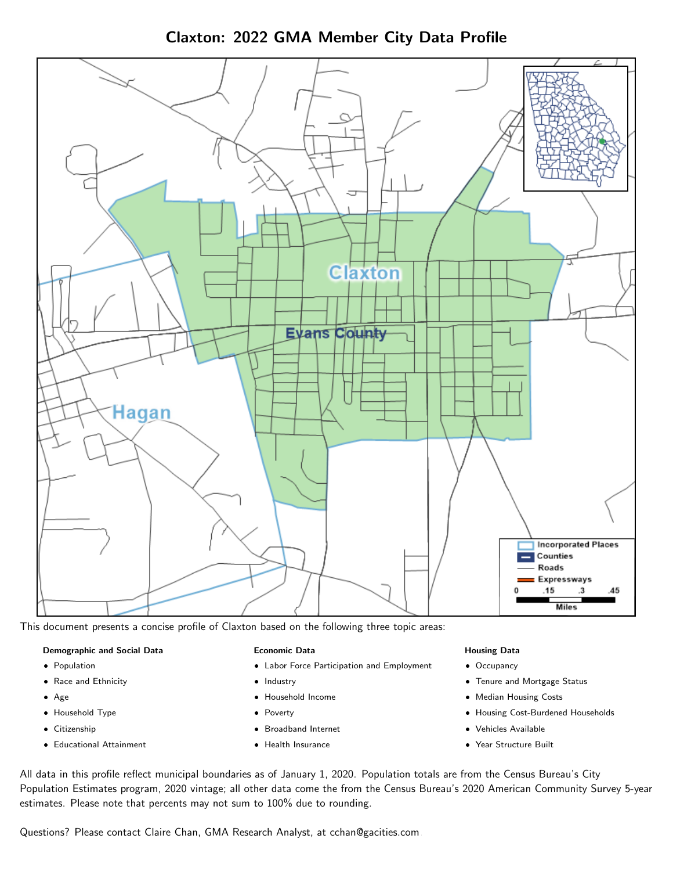Claxton: 2022 GMA Member City Data Profile



This document presents a concise profile of Claxton based on the following three topic areas:

#### Demographic and Social Data

- **•** Population
- Race and Ethnicity
- Age
- Household Type
- **Citizenship**
- Educational Attainment

### Economic Data

- Labor Force Participation and Employment
- Industry
- Household Income
- Poverty
- Broadband Internet
- Health Insurance

#### Housing Data

- Occupancy
- Tenure and Mortgage Status
- Median Housing Costs
- Housing Cost-Burdened Households
- Vehicles Available
- Year Structure Built

All data in this profile reflect municipal boundaries as of January 1, 2020. Population totals are from the Census Bureau's City Population Estimates program, 2020 vintage; all other data come the from the Census Bureau's 2020 American Community Survey 5-year estimates. Please note that percents may not sum to 100% due to rounding.

Questions? Please contact Claire Chan, GMA Research Analyst, at [cchan@gacities.com.](mailto:cchan@gacities.com)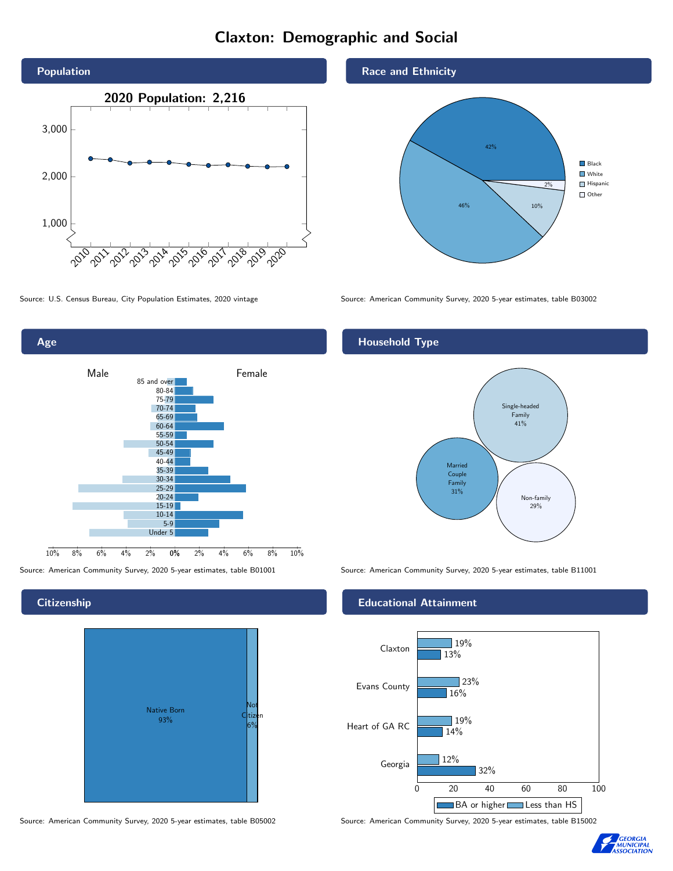# Claxton: Demographic and Social





## **Citizenship**



Source: American Community Survey, 2020 5-year estimates, table B05002 Source: American Community Survey, 2020 5-year estimates, table B15002

## Race and Ethnicity



Source: U.S. Census Bureau, City Population Estimates, 2020 vintage Source: American Community Survey, 2020 5-year estimates, table B03002

## Household Type



Source: American Community Survey, 2020 5-year estimates, table B01001 Source: American Community Survey, 2020 5-year estimates, table B11001

## Educational Attainment



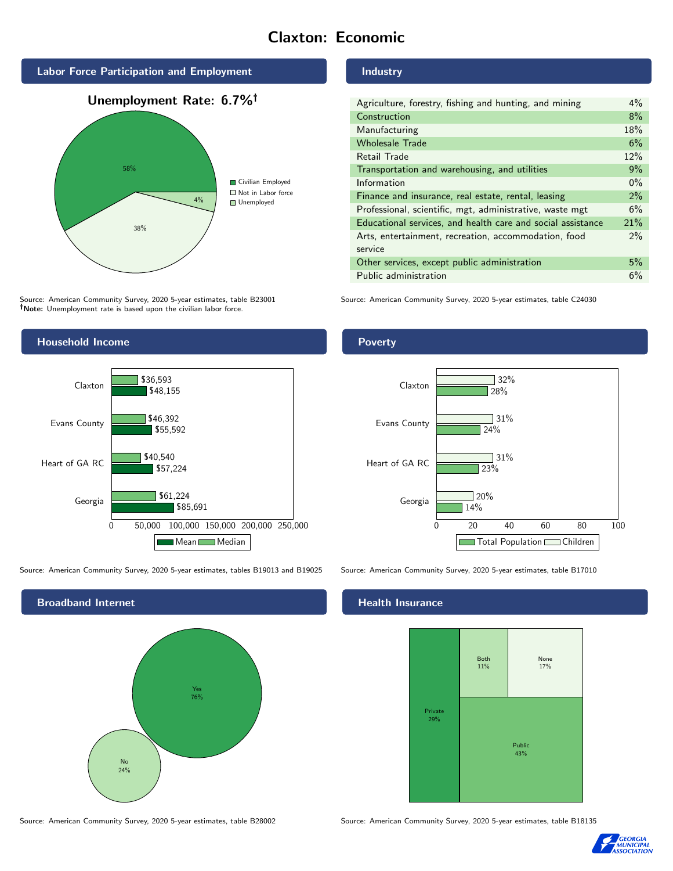# Claxton: Economic



Source: American Community Survey, 2020 5-year estimates, table B23001 Note: Unemployment rate is based upon the civilian labor force.

# Industry

| Agriculture, forestry, fishing and hunting, and mining      | $4\%$ |
|-------------------------------------------------------------|-------|
| Construction                                                | 8%    |
| Manufacturing                                               | 18%   |
| <b>Wholesale Trade</b>                                      | 6%    |
| Retail Trade                                                | 12%   |
| Transportation and warehousing, and utilities               | 9%    |
| Information                                                 | $0\%$ |
| Finance and insurance, real estate, rental, leasing         | 2%    |
| Professional, scientific, mgt, administrative, waste mgt    | 6%    |
| Educational services, and health care and social assistance | 21%   |
| Arts, entertainment, recreation, accommodation, food        | $2\%$ |
| service                                                     |       |
| Other services, except public administration                | 5%    |
| Public administration                                       | 6%    |

28%

32%

31%

 $\overline{\phantom{1}}$  31%

Source: American Community Survey, 2020 5-year estimates, table C24030



Source: American Community Survey, 2020 5-year estimates, tables B19013 and B19025 Source: American Community Survey, 2020 5-year estimates, table B17010



Source: American Community Survey, 2020 5-year estimates, table B28002 Source: American Community Survey, 2020 5-year estimates, table B18135

## **Health Insurance**